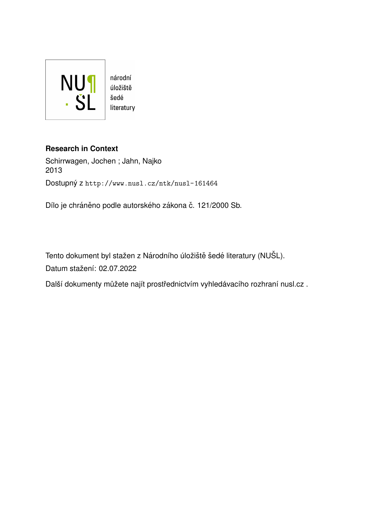

# **Research in Context**

Schirrwagen, Jochen ; Jahn, Najko 2013 Dostupný z <http://www.nusl.cz/ntk/nusl-161464>

Dílo je chráněno podle autorského zákona č. 121/2000 Sb.

Tento dokument byl stažen z Národního úložiště šedé literatury (NUŠL). Datum stažení: 02.07.2022

Další dokumenty můžete najít prostřednictvím vyhledávacího rozhraní [nusl.cz](http://www.nusl.cz) .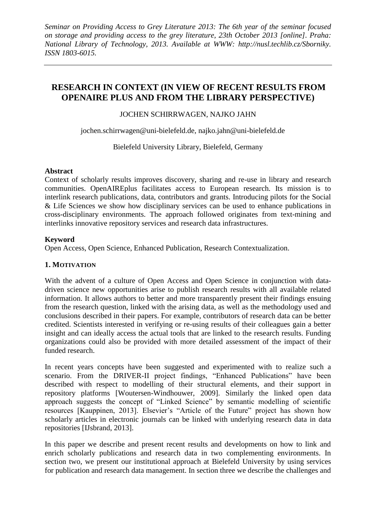# **RESEARCH IN CONTEXT (IN VIEW OF RECENT RESULTS FROM OPENAIRE PLUS AND FROM THE LIBRARY PERSPECTIVE)**

JOCHEN SCHIRRWAGEN, NAJKO JAHN

[jochen.schirrwagen@uni-bielefeld.de,](mailto:jochen.schirrwagen@uni-bielefeld.de) najko.jahn@uni-bielefeld.de

Bielefeld University Library, Bielefeld, Germany

#### **Abstract**

Context of scholarly results improves discovery, sharing and re-use in library and research communities. OpenAIREplus facilitates access to European research. Its mission is to interlink research publications, data, contributors and grants. Introducing pilots for the Social & Life Sciences we show how disciplinary services can be used to enhance publications in cross-disciplinary environments. The approach followed originates from text-mining and interlinks innovative repository services and research data infrastructures.

#### **Keyword**

Open Access, Open Science, Enhanced Publication, Research Contextualization.

## **1. MOTIVATION**

With the advent of a culture of Open Access and Open Science in conjunction with datadriven science new opportunities arise to publish research results with all available related information. It allows authors to better and more transparently present their findings ensuing from the research question, linked with the arising data, as well as the methodology used and conclusions described in their papers. For example, contributors of research data can be better credited. Scientists interested in verifying or re-using results of their colleagues gain a better insight and can ideally access the actual tools that are linked to the research results. Funding organizations could also be provided with more detailed assessment of the impact of their funded research.

In recent years concepts have been suggested and experimented with to realize such a scenario. From the DRIVER-II project findings, "Enhanced Publications" have been described with respect to modelling of their structural elements, and their support in repository platforms [Woutersen-Windhouwer, 2009]. Similarly the linked open data approach suggests the concept of "Linked Science" by semantic modelling of scientific resources [Kauppinen, 2013]. Elsevier's "Article of the Future" project has shown how scholarly articles in electronic journals can be linked with underlying research data in data repositories [IJsbrand, 2013].

In this paper we describe and present recent results and developments on how to link and enrich scholarly publications and research data in two complementing environments. In section two, we present our institutional approach at Bielefeld University by using services for publication and research data management. In section three we describe the challenges and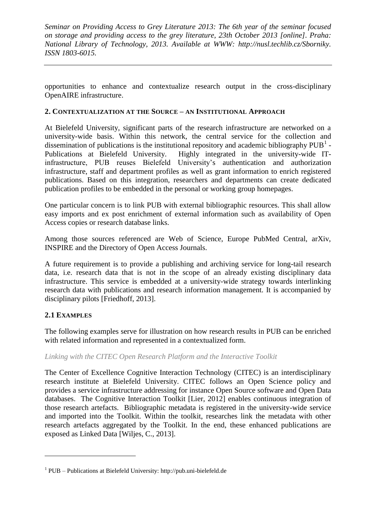opportunities to enhance and contextualize research output in the cross-disciplinary OpenAIRE infrastructure.

## **2. CONTEXTUALIZATION AT THE SOURCE – AN INSTITUTIONAL APPROACH**

At Bielefeld University, significant parts of the research infrastructure are networked on a university-wide basis. Within this network, the central service for the collection and dissemination of publications is the institutional repository and academic bibliography  $PUB<sup>1</sup>$ . Publications at Bielefeld University. Highly integrated in the university-wide ITinfrastructure, PUB reuses Bielefeld University's authentication and authorization infrastructure, staff and department profiles as well as grant information to enrich registered publications. Based on this integration, researchers and departments can create dedicated publication profiles to be embedded in the personal or working group homepages.

One particular concern is to link PUB with external bibliographic resources. This shall allow easy imports and ex post enrichment of external information such as availability of Open Access copies or research database links.

Among those sources referenced are Web of Science, Europe PubMed Central, arXiv, INSPIRE and the Directory of Open Access Journals.

A future requirement is to provide a publishing and archiving service for long-tail research data, i.e. research data that is not in the scope of an already existing disciplinary data infrastructure. This service is embedded at a university-wide strategy towards interlinking research data with publications and research information management. It is accompanied by disciplinary pilots [Friedhoff, 2013].

# **2.1 EXAMPLES**

 $\overline{a}$ 

The following examples serve for illustration on how research results in PUB can be enriched with related information and represented in a contextualized form.

#### *Linking with the CITEC Open Research Platform and the Interactive Toolkit*

The Center of Excellence Cognitive Interaction Technology (CITEC) is an interdisciplinary research institute at Bielefeld University. CITEC follows an Open Science policy and provides a service infrastructure addressing for instance Open Source software and Open Data databases. The Cognitive Interaction Toolkit [Lier, 2012] enables continuous integration of those research artefacts. Bibliographic metadata is registered in the university-wide service and imported into the Toolkit. Within the toolkit, researches link the metadata with other research artefacts aggregated by the Toolkit. In the end, these enhanced publications are exposed as Linked Data [Wiljes, C., 2013].

<sup>&</sup>lt;sup>1</sup> PUB – Publications at Bielefeld University: [http://pub.uni-bielefeld.de](http://pub.uni-bielefeld.de/)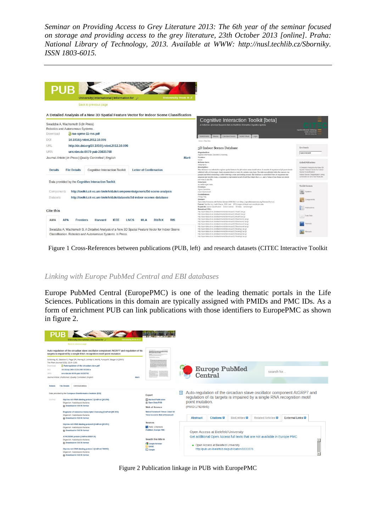|                   | University   International   Information for Q                                                  |                                            | <b>University from A-Z</b> |                                                                                                                                                                                                                                                          |                                                                      |
|-------------------|-------------------------------------------------------------------------------------------------|--------------------------------------------|----------------------------|----------------------------------------------------------------------------------------------------------------------------------------------------------------------------------------------------------------------------------------------------------|----------------------------------------------------------------------|
|                   | Back to previous page                                                                           |                                            |                            |                                                                                                                                                                                                                                                          |                                                                      |
|                   | A Detailed Analysis of a New 3D Spatial Feature Vector for Indoor Scene Classification          |                                            |                            |                                                                                                                                                                                                                                                          |                                                                      |
|                   |                                                                                                 |                                            |                            | Cognitive Interaction Toolkit [beta]                                                                                                                                                                                                                     |                                                                      |
|                   | Swadzba A, Wachsmuth S (In Press)<br>Robotics and Autonomous Systems.                           |                                            |                            | A Collection of Linked Research Data to Facilitate Interactive Cognitive Systems                                                                                                                                                                         |                                                                      |
| Download          | aras-spme-11-rvs.pdf                                                                            |                                            |                            |                                                                                                                                                                                                                                                          | <b>Center of Exi</b><br><b>Bulletinial Chic</b>                      |
| DOI               | 10.1016/j.robot.2012.10.006                                                                     |                                            |                            | <b>Toolkit Virtual</b><br>Toolkit Home<br>Extended Search<br>Login<br>Rowse                                                                                                                                                                              |                                                                      |
|                   |                                                                                                 |                                            |                            | Home > Data Sets                                                                                                                                                                                                                                         |                                                                      |
| URL               | http://dx.doi.org/10.1016/j.robot.2012.10.006                                                   |                                            |                            | 3D Indoor Scenes Database                                                                                                                                                                                                                                | Live Search                                                          |
| URN               | urn:nbn:de:0070-pub-25635768                                                                    |                                            |                            | Organisation:<br>Applied Informatics, Bielefeld University                                                                                                                                                                                               | type a keyword                                                       |
|                   | Journal Article   In Press   Quality Controlled   English                                       |                                            | <b>Mark</b>                | Version:<br>V1.0.0                                                                                                                                                                                                                                       |                                                                      |
|                   |                                                                                                 |                                            |                            | <b>Release Date:</b><br>$2009 - 09 - 01$                                                                                                                                                                                                                 | Linked Publications                                                  |
| <b>Details</b>    | <b>File Details</b><br><b>Coqnitive Interaction Toolkit</b>                                     | <b>Letter of Confirmation</b>              |                            | Description:<br>This database was collected to explore spatial features for 3D indoor scene dassification. It consists of sequences of 3D point clouds                                                                                                   | A Detailed Analysis of a New 3D<br>Spatial Feature Vector for Indoor |
|                   |                                                                                                 |                                            |                            | collected with a Swissranger. Each sequence shows a room of a certain room type. The data was collected while the camera was<br>panned and tilted simulating a robot entering a room and looking around. The database is assembled from 28 sequences one | Scene Classification<br>Indoor Scene Classification using            |
|                   |                                                                                                 |                                            |                            | sequence per specific rosm. A sequence is represented as set of text-files where the 2-, x-, and y-values of one frame are stored<br>row-wise in one file.                                                                                               | combined 3D and Gist Features                                        |
|                   | Data provided by the Cognitive Interaction Toolkit.                                             |                                            |                            | Structure:<br>An archive per room.                                                                                                                                                                                                                       | Toolkit Contents                                                     |
| Components        | http://toolkit.cit-ec.uni-bielefeld.de/components/generic/3d-scene-analysis                     |                                            |                            | Creators:<br>Agnes Swadzba                                                                                                                                                                                                                               | 32<br>Systems                                                        |
|                   |                                                                                                 |                                            |                            | Sven Wachsmuth<br>Contributors:                                                                                                                                                                                                                          |                                                                      |
| <b>Datasets</b>   | http://toolkit.cit-ec.uni-bielefeld.de/datasets/3d-indoor-scenes-database                       |                                            |                            | Philipp Nitz<br>Licenser<br>Open Data Commons Attribution Liosnie (ODC-Br) v1.0: http://opendatacommons.org/liosnies/by/1.0/.                                                                                                                            | Components                                                           |
|                   |                                                                                                 |                                            |                            | Format: Text-file (e.g. bath1/frame_0001.dat) JPG-images of depth and amplitude data<br>Keywords: scone classification indoor scenes 3D data swissranger                                                                                                 |                                                                      |
| <b>Cite this</b>  |                                                                                                 |                                            |                            | Download URL:<br>http://opendata.cit-ec.de/attachments/download/117/bath1.tar.oz                                                                                                                                                                         | Publications                                                         |
|                   |                                                                                                 |                                            |                            | http://opendata.cit-ec.delatachments/download/118/bath2.tar.oz<br>http://opendata.cit-ec.de/attachments/download/119/bath3.tar.cz                                                                                                                        | Data Sets                                                            |
| AMA<br><b>APA</b> | <b>IFFF</b><br><b>Frontiers</b><br>Harvard                                                      | <b>LNCS</b><br><b>MIA</b><br><b>BibTeX</b> | <b>RIS</b>                 | http://opendata.cit-ec.de/attachments/download/120/bedroom1.tar.gz<br>http://opendata.cit-ec.de/attachments/download/121/bedroom2.tar.gz                                                                                                                 |                                                                      |
|                   |                                                                                                 |                                            |                            | http://opendata.cit-ec.de/attachments/download/122/bedroom3.tar.gz<br>http://opendata.cit-ec.delatachments/download/123/bedroom4.tar.gz                                                                                                                  | Tutorials                                                            |
|                   | Swadzba A, Wachsmuth S. A Detailed Analysis of a New 3D Spatial Feature Vector for Indoor Scene |                                            |                            | http://opendata.cit-ec.de/attachments/download/124/eating1.tar.gz<br>http://opendata.cit-ec.delattachments/download/125/eating2.tar.gz                                                                                                                   | Manuals                                                              |
|                   | Classification. Robotics and Autonomous Systems. In Press.                                      |                                            |                            | http://opendata.cit-ec.delattachments/download/126/eating3.tar.pz                                                                                                                                                                                        |                                                                      |

Figure 1 Cross-References between publications (PUB, left) and research datasets (CITEC Interactive Toolkit

#### *Linking with Europe PubMed Central and EBI databases*

Europe PubMed Central (EuropePMC) is one of the leading thematic portals in the Life Sciences. Publications in this domain are typically assigned with PMIDs and PMC IDs. As a form of enrichment PUB can link publications with those identifiers to EuropePMC as shown in figure 2.

| Back to previous page                                                                                                                                                                                                                                                              |                                                                                                                      |                                                                                                               |
|------------------------------------------------------------------------------------------------------------------------------------------------------------------------------------------------------------------------------------------------------------------------------------|----------------------------------------------------------------------------------------------------------------------|---------------------------------------------------------------------------------------------------------------|
| Auto-regulation of the circadian slave oscillator component AtGRP7 and regulation of its<br>targets is impaired by a single RNA recognition motif point mutation                                                                                                                   | ato regulation of the structure stars molitate surgeous<br>IGMT and regulation of its recepts in required by a simpl |                                                                                                               |
| Schöning JC, Streitner C, Page DR, Hennig S, Uchida K, Wolf E, Furuya M, Staiger D (2007)<br>The Plant Journal 52(6): 1119-1130.<br>Autoregulation-of-the-circadian-slave.pdf<br>Download<br>10.1111/i.1365-313X.2007.03302.x<br>DOI<br><b>URN</b><br>urn:nbn:de:0070-pub-16310761 |                                                                                                                      | <b>Europe PubMed</b><br>search for                                                                            |
| Journal Article   Published   Quality Controlled   English<br>Mark                                                                                                                                                                                                                 |                                                                                                                      | Central                                                                                                       |
| <b>EBI BioEntities</b><br><b>File Details</b><br><b>Details</b>                                                                                                                                                                                                                    |                                                                                                                      |                                                                                                               |
|                                                                                                                                                                                                                                                                                    |                                                                                                                      |                                                                                                               |
|                                                                                                                                                                                                                                                                                    | <b>Export</b>                                                                                                        | 筒<br>Auto-regulation of the circadian slave oscillator component AtGRP7 and                                   |
| Glycine-rich RNA-binding protein 7 (UniProt:Q03250)<br>Organism: Arabidopsis thaliana<br><b>色 Download in FASTA format</b>                                                                                                                                                         | Marked Publication<br><b>C:</b> Open Data PUB<br><b>Web of Science</b>                                               | regulation of its targets is impaired by a single RNA recognition motif<br>point mutation.<br>(PMID:17924945) |
| Regulator of nonsense transcripts 1 homolog (UniProt:O9FJR0)                                                                                                                                                                                                                       | Web of Science® Times Cited: 50                                                                                      |                                                                                                               |
| Organism: Arabidopsis thaliana<br>Pt Download in FASTA format                                                                                                                                                                                                                      | View record in Web of Science®                                                                                       | <b>External Links</b><br><b>Citations</b><br><b>BioEntities</b><br><b>Related Articles</b><br><b>Abstract</b> |
| Glycine-rich RNA-binding protein 8 (UniProt:Q03251)<br>Organism: Arabidopsis thaliana<br><b>@ Download in FASTA format</b>                                                                                                                                                         | <b>Sources</b><br>PMID: 17924945<br><b>PubMed   Europe PMC</b>                                                       | Open Access at Bielefeld University                                                                           |
| AT4G39260 protein (UniProt:B9DFJ8)                                                                                                                                                                                                                                                 |                                                                                                                      | Get additional Open Access full texts that are not available in Europe PMC                                    |
| Data provided by the European Bioinformatics Institute (EBI)<br><b>UniProt</b><br>Organism: Arabidopsis thaliana<br>Pt Download in FASTA format                                                                                                                                    | Search this title in<br>Google Scholar<br><b>B</b> BASE                                                              | • Open Access at Bielefeld University                                                                         |

Figure 2 Publication linkage in PUB with EuropePMC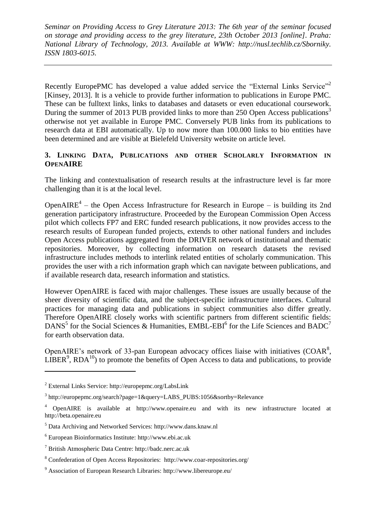Recently EuropePMC has developed a value added service the "External Links Service"<sup>2</sup> [Kinsey, 2013]. It is a vehicle to provide further information to publications in Europe PMC. These can be fulltext links, links to databases and datasets or even educational coursework. During the summer of 2013 PUB provided links to more than 250 Open Access publications<sup>3</sup> otherwise not yet available in Europe PMC. Conversely PUB links from its publications to research data at EBI automatically. Up to now more than 100.000 links to bio entities have been determined and are visible at Bielefeld University website on article level.

# **3. LINKING DATA, PUBLICATIONS AND OTHER SCHOLARLY INFORMATION IN OPENAIRE**

The linking and contextualisation of research results at the infrastructure level is far more challenging than it is at the local level.

OpenAIRE<sup>4</sup> – the Open Access Infrastructure for Research in Europe – is building its 2nd generation participatory infrastructure. Proceeded by the European Commission Open Access pilot which collects FP7 and ERC funded research publications, it now provides access to the research results of European funded projects, extends to other national funders and includes Open Access publications aggregated from the DRIVER network of institutional and thematic repositories. Moreover, by collecting information on research datasets the revised infrastructure includes methods to interlink related entities of scholarly communication. This provides the user with a rich information graph which can navigate between publications, and if available research data, research information and statistics.

However OpenAIRE is faced with major challenges. These issues are usually because of the sheer diversity of scientific data, and the subject-specific infrastructure interfaces. Cultural practices for managing data and publications in subject communities also differ greatly. Therefore OpenAIRE closely works with scientific partners from different scientific fields: DANS<sup>5</sup> for the Social Sciences & Humanities, EMBL-EBI<sup>6</sup> for the Life Sciences and BADC<sup>7</sup> for earth observation data.

OpenAIRE's network of 33-pan European advocacy offices liaise with initiatives  $(COAR<sup>8</sup>)$ ,  $LIBER<sup>9</sup>$ ,  $RDA<sup>10</sup>$ ) to promote the benefits of Open Access to data and publications, to provide

 $\overline{a}$ 

<sup>2</sup> External Links Service:<http://europepmc.org/LabsLink>

<sup>&</sup>lt;sup>3</sup> [http://europepmc.org/search?page=1&query=LABS\\_PUBS:1056&sortby=Relevance](http://europepmc.org/search?page=1&query=LABS_PUBS:1056&sortby=Relevance)

<sup>4</sup> OpenAIRE is available at [http://www.openaire.eu](http://www.openaire.eu/) and with its new infrastructure located at [http://beta.openaire.eu](http://beta.openaire.eu/)

<sup>5</sup> Data Archiving and Networked Services: [http://www.dans.knaw.nl](http://www.dans.knaw.nl/)

<sup>6</sup> European Bioinformatics Institute: [http://www.ebi.ac.uk](http://www.ebi.ac.uk/)

<sup>7</sup> British Atmospheric Data Centre: [http://badc.nerc.ac.uk](http://badc.nerc.ac.uk/)

<sup>8</sup> Confederation of Open Access Repositories: <http://www.coar-repositories.org/>

<sup>9</sup> Association of European Research Libraries:<http://www.libereurope.eu/>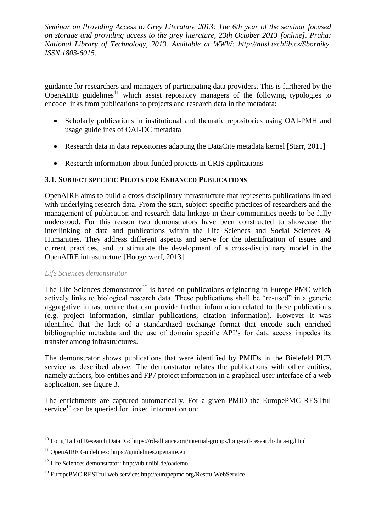guidance for researchers and managers of participating data providers. This is furthered by the OpenAIRE guidelines<sup>11</sup> which assist repository managers of the following typologies to encode links from publications to projects and research data in the metadata:

- Scholarly publications in institutional and thematic repositories using OAI-PMH and usage guidelines of OAI-DC metadata
- Research data in data repositories adapting the DataCite metadata kernel [Starr, 2011]
- Research information about funded projects in CRIS applications

# **3.1. SUBJECT SPECIFIC PILOTS FOR ENHANCED PUBLICATIONS**

OpenAIRE aims to build a cross-disciplinary infrastructure that represents publications linked with underlying research data. From the start, subject-specific practices of researchers and the management of publication and research data linkage in their communities needs to be fully understood. For this reason two demonstrators have been constructed to showcase the interlinking of data and publications within the Life Sciences and Social Sciences & Humanities. They address different aspects and serve for the identification of issues and current practices, and to stimulate the development of a cross-disciplinary model in the OpenAIRE infrastructure [Hoogerwerf, 2013].

#### *Life Sciences demonstrator*

 $\overline{a}$ 

The Life Sciences demonstrator<sup>12</sup> is based on publications originating in Europe PMC which actively links to biological research data. These publications shall be "re-used" in a generic aggregative infrastructure that can provide further information related to these publications (e.g. project information, similar publications, citation information). However it was identified that the lack of a standardized exchange format that encode such enriched bibliographic metadata and the use of domain specific API's for data access impedes its transfer among infrastructures.

The demonstrator shows publications that were identified by PMIDs in the Bielefeld PUB service as described above. The demonstrator relates the publications with other entities, namely authors, bio-entities and FP7 project information in a graphical user interface of a web application, see figure 3.

The enrichments are captured automatically. For a given PMID the EuropePMC RESTful service<sup>13</sup> can be queried for linked information on:

<sup>10</sup> Long Tail of Research Data IG:<https://rd-alliance.org/internal-groups/long-tail-research-data-ig.html>

<sup>&</sup>lt;sup>11</sup> OpenAIRE Guidelines: [https://guidelines.openaire.eu](https://guidelines.openaire.eu/)

<sup>12</sup> Life Sciences demonstrator:<http://ub.unibi.de/oademo>

<sup>13</sup> EuropePMC RESTful web service:<http://europepmc.org/RestfulWebService>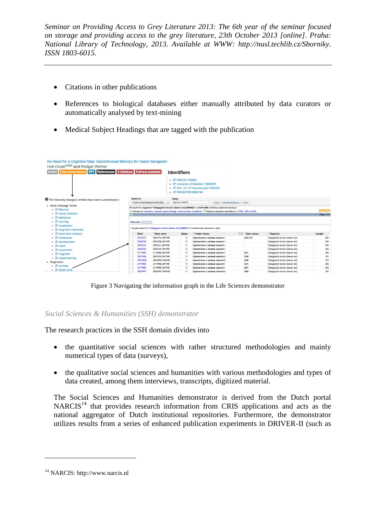- Citations in other publications
- References to biological databases either manually attributed by data curators or automatically analysed by text-mining
- Medical Subject Headings that are tagged with the publication

| Holk Cruse <sup>UNIBI</sup> and Rüdiger Wehner<br>Text-mined terms FP7 References 3 Citations Full text available<br><b>MeSH</b> |                                   |                                                                                                                        | <b>Identifiers</b><br>$\bullet$ $Z$ PMID:21445233<br>• <b>E' PMCID:PMC3060166</b> | • <b>E' University of Bielefeld (1886087)</b><br>• <b>Z'</b> DOI: 10.1371/journal.pcbi.1002009                  |      |                 |                                  |            |  |
|----------------------------------------------------------------------------------------------------------------------------------|-----------------------------------|------------------------------------------------------------------------------------------------------------------------|-----------------------------------------------------------------------------------|-----------------------------------------------------------------------------------------------------------------|------|-----------------|----------------------------------|------------|--|
| <b>O</b> The following biological entities have been automatically c                                                             | Search in                         | Query                                                                                                                  |                                                                                   |                                                                                                                 |      |                 |                                  |            |  |
|                                                                                                                                  | Protein Knowledgebase (UniProtKB) | $\ddot{\phantom{a}}$                                                                                                   | organism:299895                                                                   | Search   Advanced Search >                                                                                      |      | Clear           |                                  |            |  |
| • Gene Ontology Terms                                                                                                            |                                   |                                                                                                                        |                                                                                   | 10 results for organism:"Cataglyphis bicolor (desert ant) [299895]" in UniProtKB sorted by score descending [2] |      |                 |                                  |            |  |
| ○ 【Z Memory                                                                                                                      |                                   | Browse by taxonomy, keyword, gene ontology, enzyme class or pathway I = Reduce sequence redundancy to 100%, 90% or 50% |                                                                                   |                                                                                                                 |      |                 |                                  |            |  |
| <b>EX lateral inhibition</b><br>$\circ$                                                                                          |                                   |                                                                                                                        |                                                                                   |                                                                                                                 |      |                 | Page 1 of                        |            |  |
|                                                                                                                                  |                                   |                                                                                                                        |                                                                                   |                                                                                                                 |      |                 |                                  |            |  |
| · [Z behaviour                                                                                                                   |                                   |                                                                                                                        |                                                                                   |                                                                                                                 |      |                 |                                  |            |  |
| $\circ$ $\mathbb{Z}$ learning                                                                                                    | <b>Results ellitomize</b>         |                                                                                                                        |                                                                                   |                                                                                                                 |      |                 |                                  |            |  |
| · <b>Z</b> localization                                                                                                          |                                   |                                                                                                                        |                                                                                   |                                                                                                                 |      |                 |                                  |            |  |
| · <b>Z</b> long term memories                                                                                                    |                                   |                                                                                                                        |                                                                                   | Expand search to "Cataglyphis bicolor (desert ant) [299895]" to include lower taxonomic ranks                   |      |                 |                                  |            |  |
| ○ <b>Z</b> short term memory                                                                                                     | Entry                             | Entry name                                                                                                             | <b>Status</b>                                                                     | Protein names                                                                                                   | 1.31 | Gene names      | Organism                         | - Length   |  |
| · [Z habituation                                                                                                                 | Q <sub>2</sub> YGT5<br>o          | Q2YGT5 9HYME                                                                                                           |                                                                                   | Cytochrome c oxidase subunit 1                                                                                  |      | COI CO1         | Cataglyphis bicolor (desert ant) | 255        |  |
| · <i>C</i> development                                                                                                           | 0<br><b>G5DCQ8</b>                | G5DCQ8_9HYME                                                                                                           | ÷                                                                                 | Cytochrome c oxidase subunit 1                                                                                  |      |                 | Cataglyphis bicolor (desert ant) | 250        |  |
| ○ Z vision                                                                                                                       | G5DCU1                            | G5DCU1_9HYME                                                                                                           |                                                                                   | Cytochrome c oxidase subunit 1                                                                                  |      |                 | Cataglyphis bicolor (desert ant) | 250        |  |
| ○ <b>Z</b> locomotion                                                                                                            | G5DCU3<br>o                       | G5DCU3 9HYME                                                                                                           |                                                                                   | Cytochrome c oxidase subunit 1                                                                                  |      |                 | Cataglyphis bicolor (desert ant) | 250        |  |
|                                                                                                                                  | 0<br>A1YW69                       | A1YW69_9HYME                                                                                                           | ÷                                                                                 | Cytochrome c oxidase subunit 1                                                                                  |      | CO <sub>1</sub> | Cataglyphis bicolor (desert ant) | 255        |  |
| ○ <b>Z</b> Cognition                                                                                                             | Θ<br>Q2YGS8                       | Q2YGSB_9HYME                                                                                                           |                                                                                   | Cytochrome c oxidase subunit 2                                                                                  |      | COII            | Cataglyphis bicolor (desert ant) | 167        |  |
| · Z visual learning                                                                                                              | o<br>Q <sub>2</sub> VWK6          | Q2VWK6_9HYME                                                                                                           | ÷                                                                                 | Cytochrome c oxidase subunit 2                                                                                  |      | COII            | Cataglyphis bicolor (desert ant) | 167        |  |
| • Organisms                                                                                                                      | Θ<br>A1YW68                       | A1YW68_9HYME                                                                                                           | Ŕ                                                                                 | Cytochrome c oxidase subunit 1                                                                                  |      | CO <sub>1</sub> | Cataglyphis bicolor (desert ant) | 255        |  |
| $\circ$ $\mathbb{Z}$ animals<br>· <b>L</b> <sup>2</sup> desert ants                                                              | o<br>A1YW80                       | A1YW80 9HYME                                                                                                           | ŵ                                                                                 | Cytochrome c oxidase subunit 1                                                                                  |      | CO <sub>1</sub> | Cataglyphis bicolor (desert ant) | 255<br>167 |  |

Figure 3 Navigating the information graph in the Life Sciences demonstrator

*Social Sciences & Humanities (SSH) demonstrator*

The research practices in the SSH domain divides into

- the quantitative social sciences with rather structured methodologies and mainly numerical types of data (surveys),
- the qualitative social sciences and humanities with various methodologies and types of data created, among them interviews, transcripts, digitized material.

The Social Sciences and Humanities demonstrator is derived from the Dutch portal  $NARCIS<sup>14</sup>$  that provides research information from CRIS applications and acts as the national aggregator of Dutch institutional repositories. Furthermore, the demonstrator utilizes results from a series of enhanced publication experiments in DRIVER-II (such as

 $\overline{a}$ 

<sup>14</sup> NARCIS: [http://www.narcis.nl](http://www.narcis.nl/)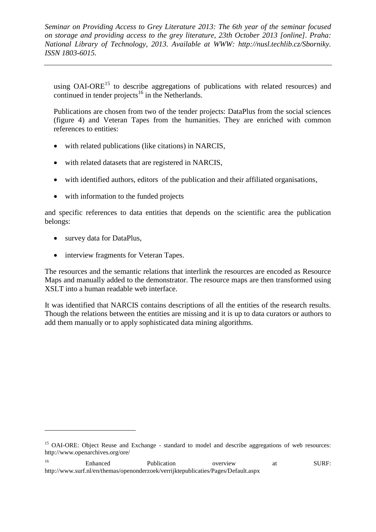using  $OAI-ORE^{15}$  to describe aggregations of publications with related resources) and continued in tender projects<sup>16</sup> in the Netherlands.

Publications are chosen from two of the tender projects: DataPlus from the social sciences (figure 4) and Veteran Tapes from the humanities. They are enriched with common references to entities:

- with related publications (like citations) in NARCIS,
- with related datasets that are registered in NARCIS,
- with identified authors, editors of the publication and their affiliated organisations,
- with information to the funded projects

and specific references to data entities that depends on the scientific area the publication belongs:

• survey data for DataPlus,

 $\overline{a}$ 

• interview fragments for Veteran Tapes.

The resources and the semantic relations that interlink the resources are encoded as Resource Maps and manually added to the demonstrator. The resource maps are then transformed using XSLT into a human readable web interface.

It was identified that NARCIS contains descriptions of all the entities of the research results. Though the relations between the entities are missing and it is up to data curators or authors to add them manually or to apply sophisticated data mining algorithms.

<sup>&</sup>lt;sup>15</sup> OAI-ORE: Obiect Reuse and Exchange - standard to model and describe aggregations of web resources: <http://www.openarchives.org/ore/>

<sup>&</sup>lt;sup>16</sup> Enhanced Publication overview at SURF: <http://www.surf.nl/en/themas/openonderzoek/verrijktepublicaties/Pages/Default.aspx>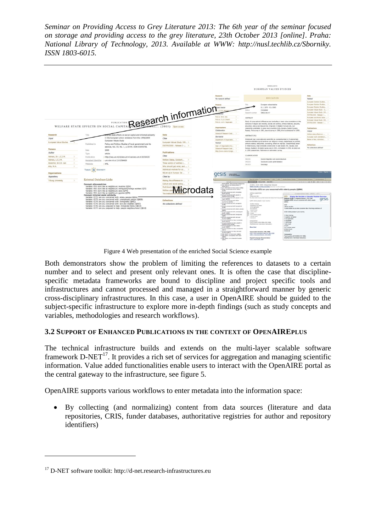

Figure 4 Web presentation of the enriched Social Science example

Both demonstrators show the problem of limiting the references to datasets to a certain number and to select and present only relevant ones. It is often the case that disciplinespecific metadata frameworks are bound to discipline and project specific tools and infrastructures and cannot processed and managed in a straightforward manner by generic cross-disciplinary infrastructures. In this case, a user in OpenAIRE should be guided to the subject-specific infrastructure to explore more in-depth findings (such as study concepts and variables, methodologies and research workflows).

#### **3.2 SUPPORT OF ENHANCED PUBLICATIONS IN THE CONTEXT OF OPENAIREPLUS**

The technical infrastructure builds and extends on the multi-layer scalable software framework  $D-NET^{17}$ . It provides a rich set of services for aggregation and managing scientific information. Value added functionalities enable users to interact with the OpenAIRE portal as the central gateway to the infrastructure, see figure 5.

OpenAIRE supports various workflows to enter metadata into the information space:

 By collecting (and normalizing) content from data sources (literature and data repositories, CRIS, funder databases, authoritative registries for author and repository identifiers)

 $\overline{a}$ 

 $17$  D-NET software toolkit[: http://d-net.research-infrastructures.eu](http://d-net.research-infrastructures.eu/)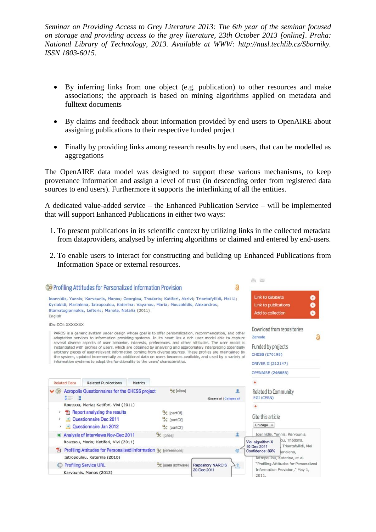- By inferring links from one object (e.g. publication) to other resources and make associations; the approach is based on mining algorithms applied on metadata and fulltext documents
- By claims and feedback about information provided by end users to OpenAIRE about assigning publications to their respective funded project
- Finally by providing links among research results by end users, that can be modelled as aggregations

The OpenAIRE data model was designed to support these various mechanisms, to keep provenance information and assign a level of trust (in descending order from registered data sources to end users). Furthermore it supports the interlinking of all the entities.

A dedicated value-added service – the Enhanced Publication Service – will be implemented that will support Enhanced Publications in either two ways:

- 1. To present publications in its scientific context by utilizing links in the collected metadata from dataproviders, analysed by inferring algorithms or claimed and entered by end-users.
- 2. To enable users to interact for constructing and building up Enhanced Publications from Information Space or external resources.

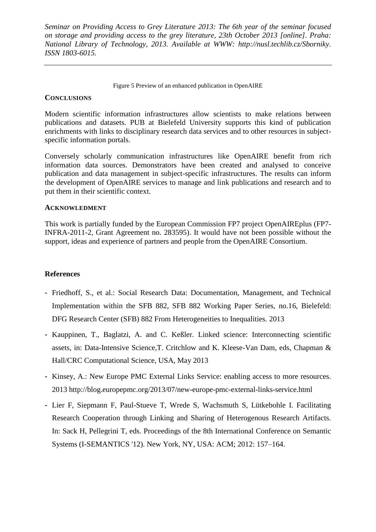Figure 5 Preview of an enhanced publication in OpenAIRE

## **CONCLUSIONS**

Modern scientific information infrastructures allow scientists to make relations between publications and datasets. PUB at Bielefeld University supports this kind of publication enrichments with links to disciplinary research data services and to other resources in subjectspecific information portals.

Conversely scholarly communication infrastructures like OpenAIRE benefit from rich information data sources. Demonstrators have been created and analysed to conceive publication and data management in subject-specific infrastructures. The results can inform the development of OpenAIRE services to manage and link publications and research and to put them in their scientific context.

### **ACKNOWLEDMENT**

This work is partially funded by the European Commission FP7 project OpenAIREplus (FP7- INFRA-2011-2, Grant Agreement no. 283595). It would have not been possible without the support, ideas and experience of partners and people from the OpenAIRE Consortium.

# **References**

- Friedhoff, S., et al.: Social Research Data: Documentation, Management, and Technical Implementation within the SFB 882, SFB 882 Working Paper Series, no.16, Bielefeld: DFG Research Center (SFB) 882 From Heterogeneities to Inequalities. 2013
- Kauppinen, T., Baglatzi, A. and C. Keßler. Linked science: Interconnecting scientific assets, in: Data-Intensive Science,T. Critchlow and K. Kleese-Van Dam, eds, Chapman & Hall/CRC Computational Science, USA, May 2013
- Kinsey, A.: New Europe PMC External Links Service: enabling access to more resources. 2013 <http://blog.europepmc.org/2013/07/new-europe-pmc-external-links-service.html>
- Lier F, Siepmann F, Paul-Stueve T, Wrede S, Wachsmuth S, Lütkebohle I. Facilitating Research Cooperation through Linking and Sharing of Heterogenous Research Artifacts. In: Sack H, Pellegrini T, eds. Proceedings of the 8th International Conference on Semantic Systems (I-SEMANTICS '12). New York, NY, USA: ACM; 2012: 157–164.